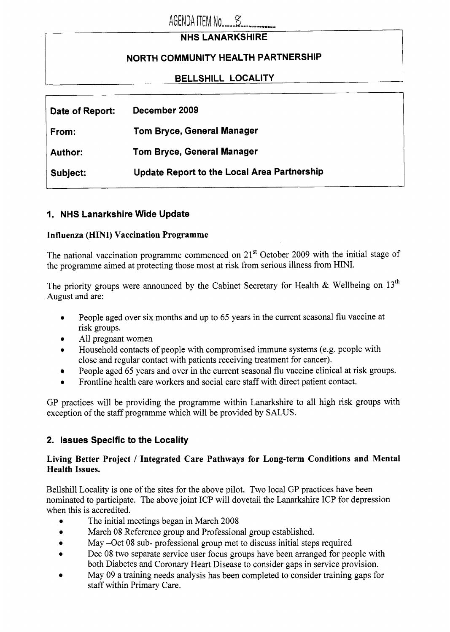# AGENDA ITEM No 25

# **NHS LANARKSHIRE**

# **NORTH COMMUNITY HEALTH PARTNERSHIP**

# **BELLSHILL LOCALITY**

| Date of Report: | December 2009                                      |
|-----------------|----------------------------------------------------|
| From:           | <b>Tom Bryce, General Manager</b>                  |
| <b>Author:</b>  | <b>Tom Bryce, General Manager</b>                  |
| Subject:        | <b>Update Report to the Local Area Partnership</b> |
|                 |                                                    |

# **I. NHS Lanarkshire Wide Update**

#### **Influenza (HINI) Vaccination Programme**

The national vaccination programme commenced on  $21<sup>st</sup>$  October 2009 with the initial stage of the programme aimed at protecting those most at risk from serious illness from HINI.

The priority groups were announced by the Cabinet Secretary for Health & Wellbeing on  $13<sup>th</sup>$ August and are:

- *0*  People aged over six months and up to *65* years in the current seasonal **flu** vaccine at risk groups.
- All pregnant women
- *0*  Household contacts of people with compromised immune systems (e.g. people with close and regular contact with patients receiving treatment for cancer).
- People aged *65* years and over in the current seasonal **flu** vaccine clinical at risk groups.
- *0*  Frontline health care workers and social care staff with direct patient contact.

GP practices will be providing the programme within Lanarkshire to all high risk groups with exception of the staff programme which will be provided by SALUS.

## **2. Issues Specific to the Locality**

#### **Living Better Project** / **Integrated Care Pathways for Long-term Conditions and Mental Health Issues.**

Bellshill Locality is one of the sites for the above pilot. Two local GP practices have been nominated to participate. The above joint ICP will dovetail the Lanarkshire ICP for depression when this is accredited.

- *0*  The initial meetings began in March 2008
- *0*  March 08 Reference group and Professional group established.
- *0*  May -0ct 08 sub- professional group met to discuss initial steps required
- *0*  Dec 08 two separate service user focus groups have been arranged for people with both Diabetes and Coronary Heart Disease to consider gaps in service provision.
- *0*  May 09 a training needs analysis has been completed to consider training gaps for staff within Primary Care.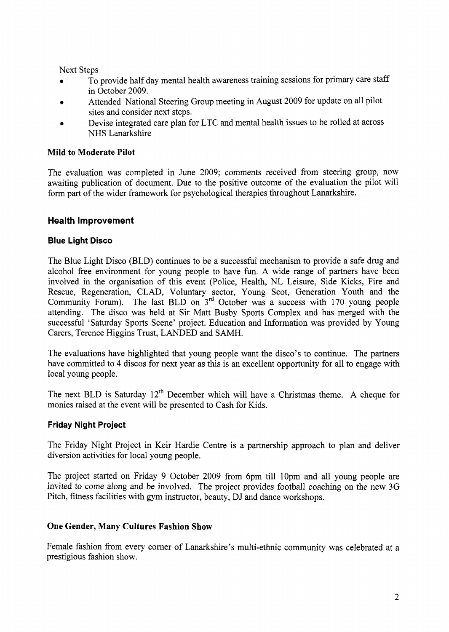Next Steps

- *0*  To provide half day mental health awareness training sessions for primary care staff in October 2009.
- *0*  Attended National Steering Group meeting in August 2009 for update on all pilot sites and consider next steps.
- *0*  Devise integrated care plan for LTC and mental health issues to be rolled at across NHS Lanarkshire

## **Mild to Moderate Pilot**

The evaluation was completed in June 2009; comments received from steering group, now awaiting publication of document. Due to the positive outcome of the evaluation the pilot will form part of the wider framework for psychological therapies throughout Lanarkshire.

## **Health Improvement**

#### **Blue Light Disco**

The Blue Light Disco (BLD) continues to be a successful mechanism to provide a safe drug and alcohol free environment for young people to have fun. A wide range of partners have been involved in the organisation of this event (Police, Health, NL Leisure, Side Kicks, Fire and Rescue, Regeneration, CLAD, Voluntary sector, Young Scot, Generation Youth and the Community Forum). The last BLD on **3'd** October was a success with 170 young people attending. The disco was held at Sir Matt Busby Sports Complex and has merged with the successful 'Saturday Sports Scene' project. Education and Information was provided by Young Carers, Terence Higgins Trust, LANDED and SAMH.

The evaluations have highlighted that young people want the disco's to continue. The partners have committed to 4 discos for next year as this is an excellent opportunity for all to engage with local young people.

The next BLD is Saturday  $12<sup>th</sup>$  December which will have a Christmas theme. A cheque for monies raised at the event will be presented to Cash for Kids.

## **Friday Night Project**

The Friday Night Project in Keir Hardie Centre is a partnership approach to plan and deliver diversion activities for local young people.

The project started on Friday 9 October 2009 from 6pm till 10pm and all young people are invited to come along and be involved. The project provides football coaching on the new 3G Pitch, fitness facilities with gym instructor, beauty, DJ and dance workshops.

#### **One Gender, Many Cultures Fashion Show**

Female fashion from every corner of Lanarkshire's multi-ethnic community was celebrated at a prestigious fashion show.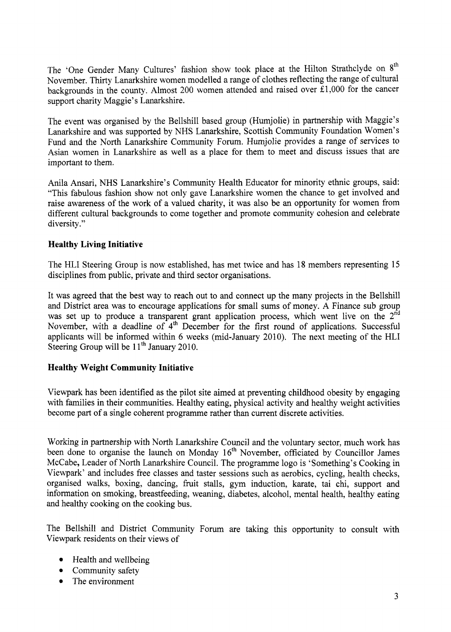The 'One Gender Many Cultures' fashion show took place at the Hilton Strathclyde on **8'h**  November. Thirty Lanarkshire women modelled a range of clothes reflecting the range of cultural backgrounds in the county. Almost 200 women attended and raised over E1,OOO for the cancer support charity Maggie's Lanarkshire.

The event was organised by the Bellshill based group (Humjolie) in partnership with Maggie's Lanarkshire and was supported by NHS Lanarkshire, Scottish Community Foundation Women's Fund and the North Lanarkshire Community Forum. Hurnjolie provides a range of services to Asian women in Lanarkshire as well as a place for them to meet and discuss issues that are important to them.

Anila Ansari, NHS Lanarkshire's Community Health Educator for minority ethnic groups, said: "This fabulous fashion show not only gave Lanarkshire women the chance to get involved and raise awareness of the work of a valued charity, it was also be an opportunity for women from different cultural backgrounds to come together and promote community cohesion and celebrate diversity."

#### **Healthy Living Initiative**

The HLI Steering Group is now established, has met twice and has **18** members representing 15 disciplines from public, private and third sector organisations.

It was agreed that the best way to reach out to and connect up the many projects in the Bellshill and District area was to encourage applications for small sums of money. **A** Finance sub group was set up to produce a transparent grant application process, which went live on the  $2<sup>nd</sup>$ November, with a deadline of  $4<sup>th</sup>$  December for the first round of applications. Successful applicants will be informed within 6 weeks (mid-January 2010). The next meeting of the HLI Steering Group will be  $11<sup>th</sup>$  January 2010.

## **Healthy Weight Community Initiative**

Viewpark has been identified as the pilot site aimed at preventing childhood obesity by engaging with families in their communities. Healthy eating, physical activity and healthy weight activities become part of a single coherent programme rather than current discrete activities.

Working in partnership with North Lanarkshire Council and the voluntary sector, much work has been done to organise the launch on Monday 16<sup>th</sup> November, officiated by Councillor James McCabe, Leader of North Lanarkshire Council. The programme logo is 'Something's Cooking in Viewpark' and includes free classes and taster sessions such as aerobics, cycling, health checks, organised walks, boxing, dancing, fruit stalls, gym induction, karate, tai chi, support and information on smoking, breastfeeding, weaning, diabetes, alcohol, mental health, healthy eating and healthy cooking on the cooking bus,

The Bellshill and District Community Forum are taking this opportunity to consult with Viewpark residents on their views of

- Health and wellbeing
- Community safety
- The environment